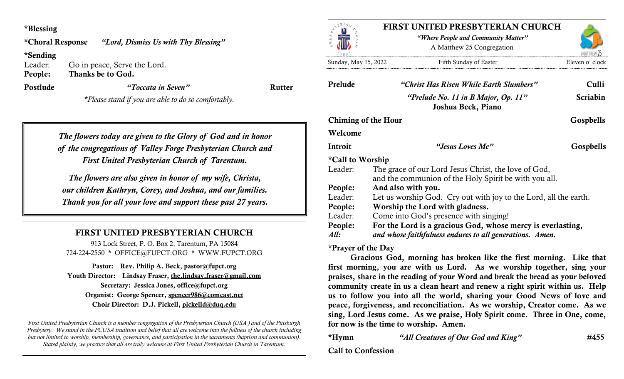### \*Blessing

"Lord, Dismiss Us with Thy Blessing" *\*Choral Response* 

## \*Sending

Leader: Go in peace, Serve the Lord. Thanks be to God. People:<br>Postlude

"Toccata in Seven" Rutter

\*Please stand if you are able to do so comfortably.

The flowers today are given to the Glory of God and in honor of the congregations of Valley Forge Presbyterian Church and First United Presbyterian Church of Tarentum.

The flowers are also given in honor of my wife, Christa, our children Kathryn, Corey, and Joshua, and our families. Thank you for all your love and support these past 27 years.

# FIRST UNITED PRESBYTERIAN CHURCH

913 Lock Street, P. O. Box 2, Tarentum, PA 15084 724-224-2550 \* OFFICE@FUPCT.ORG \* WWW.FUPCT.ORG

Pastor: Rev. Philip A. Beck, pastor@fupct.org Youth Director: Lindsay Fraser, the.lindsay.fraser@gmail.com Secretary: Jessica Jones, office@fupct.org Organist: George Spencer, spencer986@comcast.net Choir Director: D.J. Pickell, pickelld@duq.edu

First United Presbyterian Church is a member congregation of the Presbyterian Church (USA ) and of the Pittsburgh Presbytery. We stand in the PCUSA tradition and belief that all are welcome into the fullness of the church including but not limited to worship, membership, governance, and participation in the sacraments (baptism and communion). Stated plainly, we practice that all are truly welcome at First United Presbyterian Church in Tarentum.



## FIRST UNITED PRESBYTERIAN CHURCH

"Where People and Community Matter" A Matthew 25 Congregation

Sunday, May 15, 2022 Fifth Sunday of Easter Eleven o' clock

| Prelude             | "Christ Has Risen While Earth Slumbers"                                                                                 | Culli<br><b>Scriabin</b> |
|---------------------|-------------------------------------------------------------------------------------------------------------------------|--------------------------|
|                     | "Prelude No. 11 in B Major, Op. $11"$<br>Joshua Beck, Piano                                                             |                          |
| Chiming of the Hour |                                                                                                                         | Gospbells                |
| Welcome             |                                                                                                                         |                          |
| Introit             | "Jesus Loves Me"                                                                                                        | Gospbells                |
| *Call to Worship    |                                                                                                                         |                          |
| Leader:             | The grace of our Lord Jesus Christ, the love of God,<br>and the communion of the Holy Spirit be with you all.           |                          |
| People:             | And also with you.                                                                                                      |                          |
| Leader:             | Let us worship God. Cry out with joy to the Lord, all the earth.                                                        |                          |
| People:             | Worship the Lord with gladness.                                                                                         |                          |
| Leader:             | Come into God's presence with singing!                                                                                  |                          |
| People:<br>All:     | For the Lord is a gracious God, whose mercy is everlasting,<br>and whose faithfulness endures to all generations. Amen. |                          |

### \*Prayer of the Day

Gracious God, morning has broken like the first morning. Like that first morning, you are with us Lord. As we worship together, sing your praises, share in the reading of your Word and break the bread as your beloved community create in us a clean heart and renew a right spirit within us. Help us to follow you into all the world, sharing your Good News of love and peace, forgiveness, and reconciliation. As we worship, Creator come. As we sing, Lord Jesus come. As we praise, Holy Spirit come. Three in One, come, for now is the time to worship. Amen.

\*Hymn "All Creatures of Our God and King" #455

## Call to Confession